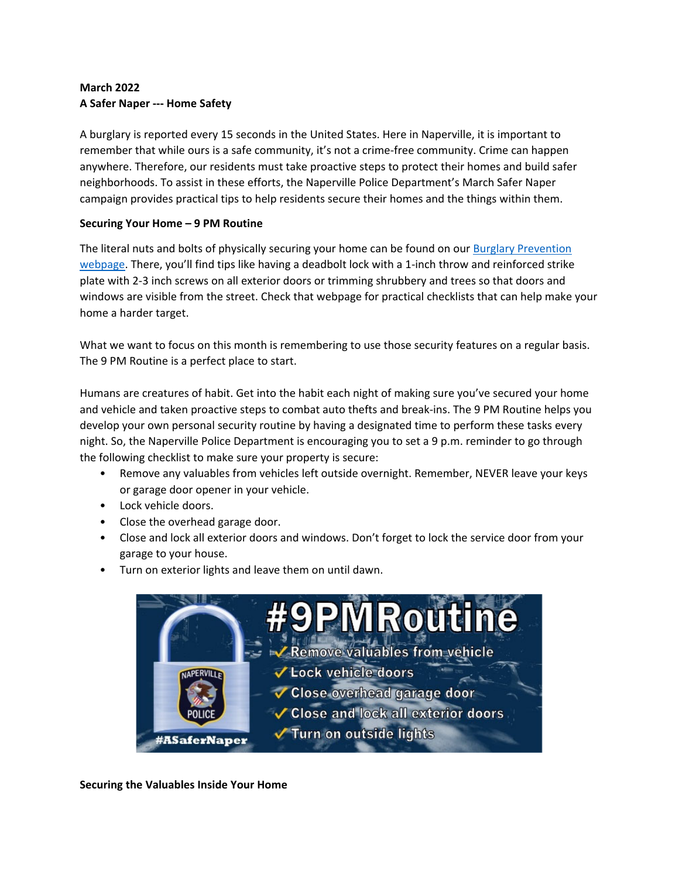# **March 2022 A Safer Naper ‐‐‐ Home Safety**

A burglary is reported every 15 seconds in the United States. Here in Naperville, it is important to remember that while ours is a safe community, it's not a crime‐free community. Crime can happen anywhere. Therefore, our residents must take proactive steps to protect their homes and build safer neighborhoods. To assist in these efforts, the Naperville Police Department's March Safer Naper campaign provides practical tips to help residents secure their homes and the things within them.

## **Securing Your Home – 9 PM Routine**

The literal nuts and bolts of physically securing your home can be found on our **Burglary Prevention** webpage. There, you'll find tips like having a deadbolt lock with a 1-inch throw and reinforced strike plate with 2‐3 inch screws on all exterior doors or trimming shrubbery and trees so that doors and windows are visible from the street. Check that webpage for practical checklists that can help make your home a harder target.

What we want to focus on this month is remembering to use those security features on a regular basis. The 9 PM Routine is a perfect place to start.

Humans are creatures of habit. Get into the habit each night of making sure you've secured your home and vehicle and taken proactive steps to combat auto thefts and break‐ins. The 9 PM Routine helps you develop your own personal security routine by having a designated time to perform these tasks every night. So, the Naperville Police Department is encouraging you to set a 9 p.m. reminder to go through the following checklist to make sure your property is secure:

- Remove any valuables from vehicles left outside overnight. Remember, NEVER leave your keys or garage door opener in your vehicle.
- Lock vehicle doors.
- Close the overhead garage door.
- Close and lock all exterior doors and windows. Don't forget to lock the service door from your garage to your house.
- Turn on exterior lights and leave them on until dawn.



**Securing the Valuables Inside Your Home**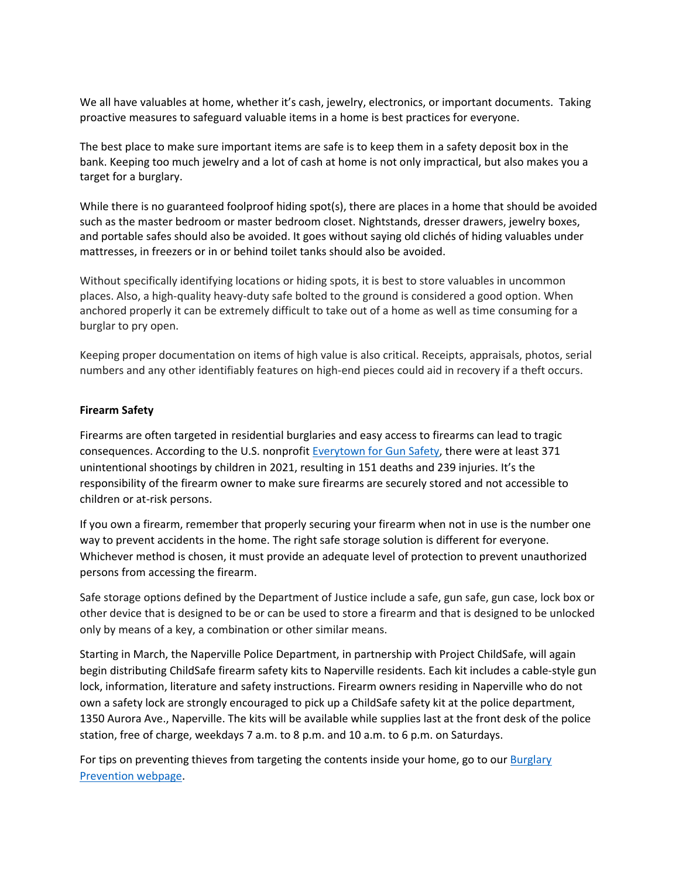We all have valuables at home, whether it's cash, jewelry, electronics, or important documents. Taking proactive measures to safeguard valuable items in a home is best practices for everyone.

The best place to make sure important items are safe is to keep them in a safety deposit box in the bank. Keeping too much jewelry and a lot of cash at home is not only impractical, but also makes you a target for a burglary.

While there is no guaranteed foolproof hiding spot(s), there are places in a home that should be avoided such as the master bedroom or master bedroom closet. Nightstands, dresser drawers, jewelry boxes, and portable safes should also be avoided. It goes without saying old clichés of hiding valuables under mattresses, in freezers or in or behind toilet tanks should also be avoided.

Without specifically identifying locations or hiding spots, it is best to store valuables in uncommon places. Also, a high‐quality heavy‐duty safe bolted to the ground is considered a good option. When anchored properly it can be extremely difficult to take out of a home as well as time consuming for a burglar to pry open.

Keeping proper documentation on items of high value is also critical. Receipts, appraisals, photos, serial numbers and any other identifiably features on high‐end pieces could aid in recovery if a theft occurs.

#### **Firearm Safety**

Firearms are often targeted in residential burglaries and easy access to firearms can lead to tragic consequences. According to the U.S. nonprofit Everytown for Gun Safety, there were at least 371 unintentional shootings by children in 2021, resulting in 151 deaths and 239 injuries. It's the responsibility of the firearm owner to make sure firearms are securely stored and not accessible to children or at‐risk persons.

If you own a firearm, remember that properly securing your firearm when not in use is the number one way to prevent accidents in the home. The right safe storage solution is different for everyone. Whichever method is chosen, it must provide an adequate level of protection to prevent unauthorized persons from accessing the firearm.

Safe storage options defined by the Department of Justice include a safe, gun safe, gun case, lock box or other device that is designed to be or can be used to store a firearm and that is designed to be unlocked only by means of a key, a combination or other similar means.

Starting in March, the Naperville Police Department, in partnership with Project ChildSafe, will again begin distributing ChildSafe firearm safety kits to Naperville residents. Each kit includes a cable‐style gun lock, information, literature and safety instructions. Firearm owners residing in Naperville who do not own a safety lock are strongly encouraged to pick up a ChildSafe safety kit at the police department, 1350 Aurora Ave., Naperville. The kits will be available while supplies last at the front desk of the police station, free of charge, weekdays 7 a.m. to 8 p.m. and 10 a.m. to 6 p.m. on Saturdays.

For tips on preventing thieves from targeting the contents inside your home, go to our Burglary Prevention webpage.